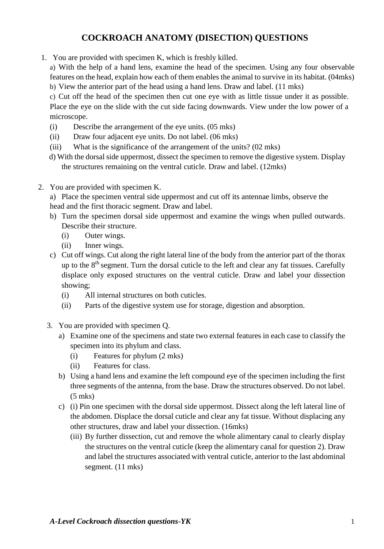# **COCKROACH ANATOMY (DISECTION) QUESTIONS**

1. You are provided with specimen K, which is freshly killed.

a) With the help of a hand lens, examine the head of the specimen. Using any four observable features on the head, explain how each of them enables the animal to survive in its habitat. (04mks) b) View the anterior part of the head using a hand lens. Draw and label. (11 mks)

c) Cut off the head of the specimen then cut one eye with as little tissue under it as possible. Place the eye on the slide with the cut side facing downwards. View under the low power of a microscope.

- (i) Describe the arrangement of the eye units. (05 mks)
- (ii) Draw four adjacent eye units. Do not label. (06 mks)
- (iii) What is the significance of the arrangement of the units? (02 mks)
- d) With the dorsal side uppermost, dissect the specimen to remove the digestive system. Display the structures remaining on the ventral cuticle. Draw and label. (12mks)
- 2. You are provided with specimen K.

a) Place the specimen ventral side uppermost and cut off its antennae limbs, observe the head and the first thoracic segment. Draw and label.

- b) Turn the specimen dorsal side uppermost and examine the wings when pulled outwards. Describe their structure.
	- (i) Outer wings.
	- (ii) Inner wings.
- c) Cut off wings. Cut along the right lateral line of the body from the anterior part of the thorax up to the  $8<sup>th</sup>$  segment. Turn the dorsal cuticle to the left and clear any fat tissues. Carefully displace only exposed structures on the ventral cuticle. Draw and label your dissection showing;
	- (i) All internal structures on both cuticles.
	- (ii) Parts of the digestive system use for storage, digestion and absorption.
- 3. You are provided with specimen Q.
	- a) Examine one of the specimens and state two external features in each case to classify the specimen into its phylum and class.
		- (i) Features for phylum (2 mks)
		- (ii) Features for class.
	- b) Using a hand lens and examine the left compound eye of the specimen including the first three segments of the antenna, from the base. Draw the structures observed. Do not label. (5 mks)
	- c) (i) Pin one specimen with the dorsal side uppermost. Dissect along the left lateral line of the abdomen. Displace the dorsal cuticle and clear any fat tissue. Without displacing any other structures, draw and label your dissection. (16mks)
		- (iii) By further dissection, cut and remove the whole alimentary canal to clearly display the structures on the ventral cuticle (keep the alimentary canal for question 2). Draw and label the structures associated with ventral cuticle, anterior to the last abdominal segment. (11 mks)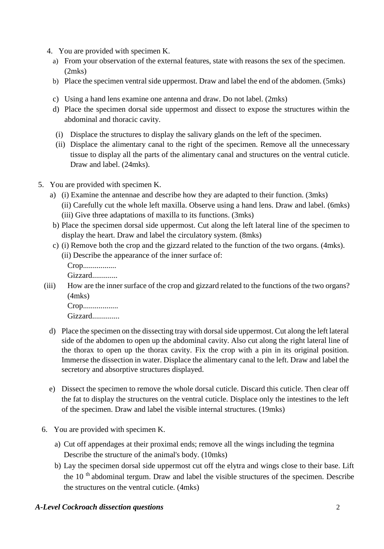- 4. You are provided with specimen K.
	- a) From your observation of the external features, state with reasons the sex of the specimen. (2mks)
	- b) Place the specimen ventral side uppermost. Draw and label the end of the abdomen. (5mks)
	- c) Using a hand lens examine one antenna and draw. Do not label. (2mks)
	- d) Place the specimen dorsal side uppermost and dissect to expose the structures within the abdominal and thoracic cavity.
	- (i) Displace the structures to display the salivary glands on the left of the specimen.
	- (ii) Displace the alimentary canal to the right of the specimen. Remove all the unnecessary tissue to display all the parts of the alimentary canal and structures on the ventral cuticle. Draw and label. (24mks).
- 5. You are provided with specimen K.
	- a) (i) Examine the antennae and describe how they are adapted to their function. (3mks) (ii) Carefully cut the whole left maxilla. Observe using a hand lens. Draw and label. (6mks) (iii) Give three adaptations of maxilla to its functions. (3mks)
	- b) Place the specimen dorsal side uppermost. Cut along the left lateral line of the specimen to display the heart. Draw and label the circulatory system. (8mks)
	- c) (i) Remove both the crop and the gizzard related to the function of the two organs. (4mks).
		- (ii) Describe the appearance of the inner surface of:
			- Crop.................

Gizzard.............

(iii) How are the inner surface of the crop and gizzard related to the functions of the two organs? (4mks)

Crop..................

Gizzard...............

- d) Place the specimen on the dissecting tray with dorsal side uppermost. Cut along the left lateral side of the abdomen to open up the abdominal cavity. Also cut along the right lateral line of the thorax to open up the thorax cavity. Fix the crop with a pin in its original position. Immerse the dissection in water. Displace the alimentary canal to the left. Draw and label the secretory and absorptive structures displayed.
- e) Dissect the specimen to remove the whole dorsal cuticle. Discard this cuticle. Then clear off the fat to display the structures on the ventral cuticle. Displace only the intestines to the left of the specimen. Draw and label the visible internal structures. (19mks)
- 6. You are provided with specimen K.
	- a) Cut off appendages at their proximal ends; remove all the wings including the tegmina Describe the structure of the animal's body. (10mks)
	- b) Lay the specimen dorsal side uppermost cut off the elytra and wings close to their base. Lift the 10<sup>th</sup> abdominal tergum. Draw and label the visible structures of the specimen. Describe the structures on the ventral cuticle. (4mks)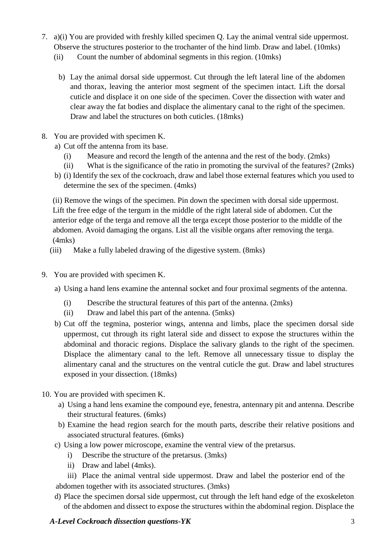- 7. a)(i) You are provided with freshly killed specimen Q. Lay the animal ventral side uppermost. Observe the structures posterior to the trochanter of the hind limb. Draw and label. (10mks)
	- (ii) Count the number of abdominal segments in this region. (10mks)
		- b) Lay the animal dorsal side uppermost. Cut through the left lateral line of the abdomen and thorax, leaving the anterior most segment of the specimen intact. Lift the dorsal cuticle and displace it on one side of the specimen. Cover the dissection with water and clear away the fat bodies and displace the alimentary canal to the right of the specimen. Draw and label the structures on both cuticles. (18mks)
- 8. You are provided with specimen K.
	- a) Cut off the antenna from its base.
		- (i) Measure and record the length of the antenna and the rest of the body. (2mks)
		- (ii) What is the significance of the ratio in promoting the survival of the features? (2mks)
	- b) (i) Identify the sex of the cockroach, draw and label those external features which you used to determine the sex of the specimen. (4mks)

(ii) Remove the wings of the specimen. Pin down the specimen with dorsal side uppermost. Lift the free edge of the tergum in the middle of the right lateral side of abdomen. Cut the anterior edge of the terga and remove all the terga except those posterior to the middle of the abdomen. Avoid damaging the organs. List all the visible organs after removing the terga. (4mks)

- (iii) Make a fully labeled drawing of the digestive system. (8mks)
- 9. You are provided with specimen K.
	- a) Using a hand lens examine the antennal socket and four proximal segments of the antenna.
		- (i) Describe the structural features of this part of the antenna. (2mks)
		- (ii) Draw and label this part of the antenna. (5mks)
	- b) Cut off the tegmina, posterior wings, antenna and limbs, place the specimen dorsal side uppermost, cut through its right lateral side and dissect to expose the structures within the abdominal and thoracic regions. Displace the salivary glands to the right of the specimen. Displace the alimentary canal to the left. Remove all unnecessary tissue to display the alimentary canal and the structures on the ventral cuticle the gut. Draw and label structures exposed in your dissection. (18mks)
- 10. You are provided with specimen K.
	- a) Using a hand lens examine the compound eye, fenestra, antennary pit and antenna. Describe their structural features. (6mks)
	- b) Examine the head region search for the mouth parts, describe their relative positions and associated structural features. (6mks)
	- c) Using a low power microscope, examine the ventral view of the pretarsus.
		- i) Describe the structure of the pretarsus. (3mks)
			- ii) Draw and label (4mks).
	- iii) Place the animal ventral side uppermost. Draw and label the posterior end of the abdomen together with its associated structures. (3mks)
	- d) Place the specimen dorsal side uppermost, cut through the left hand edge of the exoskeleton of the abdomen and dissect to expose the structures within the abdominal region. Displace the

# *A-Level Cockroach dissection questions-YK* 3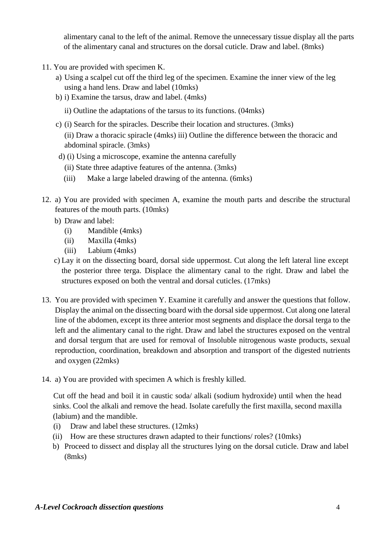alimentary canal to the left of the animal. Remove the unnecessary tissue display all the parts of the alimentary canal and structures on the dorsal cuticle. Draw and label. (8mks)

- 11. You are provided with specimen K.
	- a) Using a scalpel cut off the third leg of the specimen. Examine the inner view of the leg using a hand lens. Draw and label (10mks)
	- b) i) Examine the tarsus, draw and label. (4mks)
		- ii) Outline the adaptations of the tarsus to its functions. (04mks)
	- c) (i) Search for the spiracles. Describe their location and structures. (3mks) (ii) Draw a thoracic spiracle (4mks) iii) Outline the difference between the thoracic and abdominal spiracle. (3mks)
	- d) (i) Using a microscope, examine the antenna carefully
		- (ii) State three adaptive features of the antenna. (3mks)
		- (iii) Make a large labeled drawing of the antenna. (6mks)
- 12. a) You are provided with specimen A, examine the mouth parts and describe the structural features of the mouth parts. (10mks)
	- b) Draw and label:
		- (i) Mandible (4mks)
		- (ii) Maxilla (4mks)
		- (iii) Labium (4mks)
	- c) Lay it on the dissecting board, dorsal side uppermost. Cut along the left lateral line except the posterior three terga. Displace the alimentary canal to the right. Draw and label the structures exposed on both the ventral and dorsal cuticles. (17mks)
- 13. You are provided with specimen Y. Examine it carefully and answer the questions that follow. Display the animal on the dissecting board with the dorsal side uppermost. Cut along one lateral line of the abdomen, except its three anterior most segments and displace the dorsal terga to the left and the alimentary canal to the right. Draw and label the structures exposed on the ventral and dorsal tergum that are used for removal of Insoluble nitrogenous waste products, sexual reproduction, coordination, breakdown and absorption and transport of the digested nutrients and oxygen (22mks)
- 14. a) You are provided with specimen A which is freshly killed.

Cut off the head and boil it in caustic soda/ alkali (sodium hydroxide) until when the head sinks. Cool the alkali and remove the head. Isolate carefully the first maxilla, second maxilla (labium) and the mandible.

- (i) Draw and label these structures. (12mks)
- (ii) How are these structures drawn adapted to their functions/ roles? (10mks)
- b) Proceed to dissect and display all the structures lying on the dorsal cuticle. Draw and label (8mks)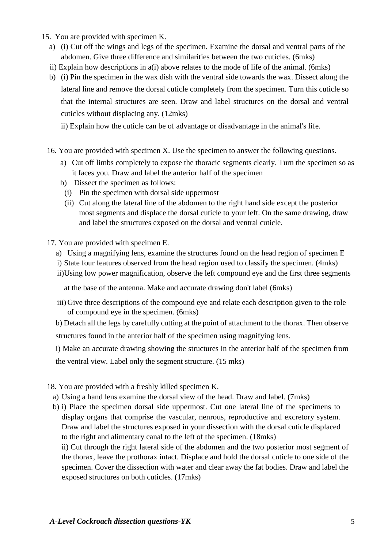15. You are provided with specimen K.

- a) (i) Cut off the wings and legs of the specimen. Examine the dorsal and ventral parts of the abdomen. Give three difference and similarities between the two cuticles. (6mks)
- ii) Explain how descriptions in a(i) above relates to the mode of life of the animal. (6mks)
- b) (i) Pin the specimen in the wax dish with the ventral side towards the wax. Dissect along the lateral line and remove the dorsal cuticle completely from the specimen. Turn this cuticle so that the internal structures are seen. Draw and label structures on the dorsal and ventral cuticles without displacing any. (12mks)

ii) Explain how the cuticle can be of advantage or disadvantage in the animal's life.

- 16. You are provided with specimen X. Use the specimen to answer the following questions.
	- a) Cut off limbs completely to expose the thoracic segments clearly. Turn the specimen so as it faces you. Draw and label the anterior half of the specimen
	- b) Dissect the specimen as follows:
	- (i) Pin the specimen with dorsal side uppermost
	- (ii) Cut along the lateral line of the abdomen to the right hand side except the posterior most segments and displace the dorsal cuticle to your left. On the same drawing, draw and label the structures exposed on the dorsal and ventral cuticle.
- 17. You are provided with specimen E.
	- a) Using a magnifying lens, examine the structures found on the head region of specimen E
	- i) State four features observed from the head region used to classify the specimen. (4mks)
	- ii)Using low power magnification, observe the left compound eye and the first three segments

at the base of the antenna. Make and accurate drawing don't label (6mks)

- iii) Give three descriptions of the compound eye and relate each description given to the role of compound eye in the specimen. (6mks)
- b) Detach all the legs by carefully cutting at the point of attachment to the thorax. Then observe structures found in the anterior half of the specimen using magnifying lens.

i) Make an accurate drawing showing the structures in the anterior half of the specimen from

the ventral view. Label only the segment structure. (15 mks)

- 18. You are provided with a freshly killed specimen K.
- a) Using a hand lens examine the dorsal view of the head. Draw and label. (7mks)
- b) i) Place the specimen dorsal side uppermost. Cut one lateral line of the specimens to display organs that comprise the vascular, nenrous, reproductive and excretory system. Draw and label the structures exposed in your dissection with the dorsal cuticle displaced to the right and alimentary canal to the left of the specimen. (18mks)

ii) Cut through the right lateral side of the abdomen and the two posterior most segment of the thorax, leave the prothorax intact. Displace and hold the dorsal cuticle to one side of the specimen. Cover the dissection with water and clear away the fat bodies. Draw and label the exposed structures on both cuticles. (17mks)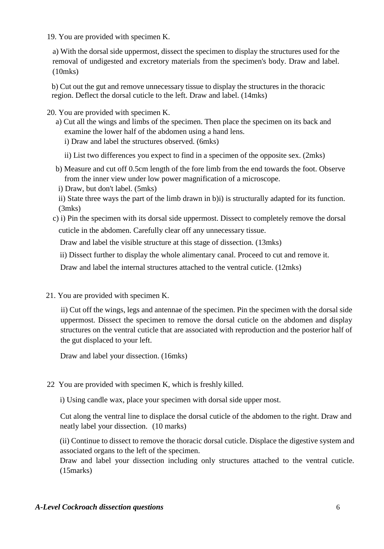19. You are provided with specimen K.

a) With the dorsal side uppermost, dissect the specimen to display the structures used for the removal of undigested and excretory materials from the specimen's body. Draw and label. (10mks)

b) Cut out the gut and remove unnecessary tissue to display the structures in the thoracic region. Deflect the dorsal cuticle to the left. Draw and label. (14mks)

20. You are provided with specimen K.

a) Cut all the wings and limbs of the specimen. Then place the specimen on its back and examine the lower half of the abdomen using a hand lens.

i) Draw and label the structures observed. (6mks)

ii) List two differences you expect to find in a specimen of the opposite sex. (2mks)

- b) Measure and cut off 0.5cm length of the fore limb from the end towards the foot. Observe from the inner view under low power magnification of a microscope.
- i) Draw, but don't label. (5mks)
- ii) State three ways the part of the limb drawn in b)i) is structurally adapted for its function. (3mks)
- c) i) Pin the specimen with its dorsal side uppermost. Dissect to completely remove the dorsal cuticle in the abdomen. Carefully clear off any unnecessary tissue.

Draw and label the visible structure at this stage of dissection. (13mks)

ii) Dissect further to display the whole alimentary canal. Proceed to cut and remove it.

Draw and label the internal structures attached to the ventral cuticle. (12mks)

21. You are provided with specimen K.

ii) Cut off the wings, legs and antennae of the specimen. Pin the specimen with the dorsal side uppermost. Dissect the specimen to remove the dorsal cuticle on the abdomen and display structures on the ventral cuticle that are associated with reproduction and the posterior half of the gut displaced to your left.

Draw and label your dissection. (16mks)

22 You are provided with specimen K, which is freshly killed.

i) Using candle wax, place your specimen with dorsal side upper most.

Cut along the ventral line to displace the dorsal cuticle of the abdomen to the right. Draw and neatly label your dissection. (10 marks)

(ii) Continue to dissect to remove the thoracic dorsal cuticle. Displace the digestive system and associated organs to the left of the specimen.

Draw and label your dissection including only structures attached to the ventral cuticle. (15marks)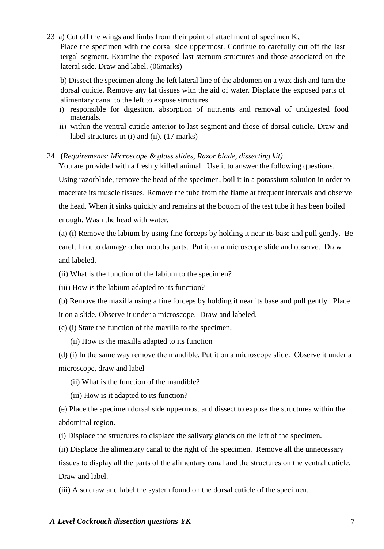23 a) Cut off the wings and limbs from their point of attachment of specimen K. Place the specimen with the dorsal side uppermost. Continue to carefully cut off the last tergal segment. Examine the exposed last sternum structures and those associated on the lateral side. Draw and label. (06marks)

b) Dissect the specimen along the left lateral line of the abdomen on a wax dish and turn the dorsal cuticle. Remove any fat tissues with the aid of water. Displace the exposed parts of alimentary canal to the left to expose structures.

- i) responsible for digestion, absorption of nutrients and removal of undigested food materials.
- ii) within the ventral cuticle anterior to last segment and those of dorsal cuticle. Draw and label structures in (i) and (ii). (17 marks)

### 24 **(***Requirements: Microscope & glass slides, Razor blade, dissecting kit)*

You are provided with a freshly killed animal. Use it to answer the following questions. Using razorblade, remove the head of the specimen, boil it in a potassium solution in order to macerate its muscle tissues. Remove the tube from the flame at frequent intervals and observe the head. When it sinks quickly and remains at the bottom of the test tube it has been boiled enough. Wash the head with water.

(a) (i) Remove the labium by using fine forceps by holding it near its base and pull gently. Be careful not to damage other mouths parts. Put it on a microscope slide and observe. Draw and labeled.

(ii) What is the function of the labium to the specimen?

(iii) How is the labium adapted to its function?

(b) Remove the maxilla using a fine forceps by holding it near its base and pull gently. Place it on a slide. Observe it under a microscope. Draw and labeled.

(c) (i) State the function of the maxilla to the specimen.

(ii) How is the maxilla adapted to its function

(d) (i) In the same way remove the mandible. Put it on a microscope slide. Observe it under a microscope, draw and label

- (ii) What is the function of the mandible?
- (iii) How is it adapted to its function?

(e) Place the specimen dorsal side uppermost and dissect to expose the structures within the abdominal region.

(i) Displace the structures to displace the salivary glands on the left of the specimen.

(ii) Displace the alimentary canal to the right of the specimen. Remove all the unnecessary tissues to display all the parts of the alimentary canal and the structures on the ventral cuticle. Draw and label.

(iii) Also draw and label the system found on the dorsal cuticle of the specimen.

### *A-Level Cockroach dissection questions-YK* 7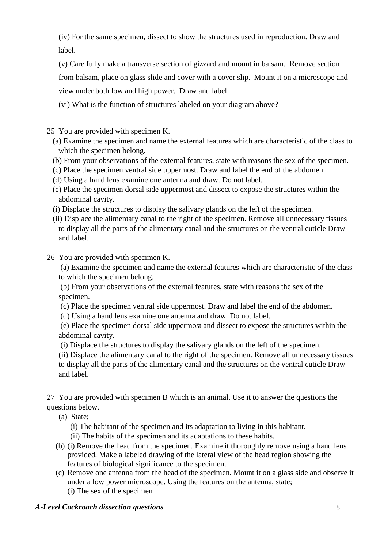(iv) For the same specimen, dissect to show the structures used in reproduction. Draw and label.

(v) Care fully make a transverse section of gizzard and mount in balsam. Remove section from balsam, place on glass slide and cover with a cover slip. Mount it on a microscope and view under both low and high power. Draw and label.

(vi) What is the function of structures labeled on your diagram above?

25 You are provided with specimen K.

- (a) Examine the specimen and name the external features which are characteristic of the class to which the specimen belong.
- (b) From your observations of the external features, state with reasons the sex of the specimen.
- (c) Place the specimen ventral side uppermost. Draw and label the end of the abdomen.
- (d) Using a hand lens examine one antenna and draw. Do not label.
- (e) Place the specimen dorsal side uppermost and dissect to expose the structures within the abdominal cavity.
- (i) Displace the structures to display the salivary glands on the left of the specimen.
- (ii) Displace the alimentary canal to the right of the specimen. Remove all unnecessary tissues to display all the parts of the alimentary canal and the structures on the ventral cuticle Draw and label.
- 26 You are provided with specimen K.

(a) Examine the specimen and name the external features which are characteristic of the class to which the specimen belong.

(b) From your observations of the external features, state with reasons the sex of the specimen.

- (c) Place the specimen ventral side uppermost. Draw and label the end of the abdomen.
- (d) Using a hand lens examine one antenna and draw. Do not label.

(e) Place the specimen dorsal side uppermost and dissect to expose the structures within the abdominal cavity.

(i) Displace the structures to display the salivary glands on the left of the specimen.

(ii) Displace the alimentary canal to the right of the specimen. Remove all unnecessary tissues to display all the parts of the alimentary canal and the structures on the ventral cuticle Draw and label.

27 You are provided with specimen B which is an animal. Use it to answer the questions the questions below.

(a) State;

(i) The habitant of the specimen and its adaptation to living in this habitant.

- (ii) The habits of the specimen and its adaptations to these habits.
- (b) (i) Remove the head from the specimen. Examine it thoroughly remove using a hand lens provided. Make a labeled drawing of the lateral view of the head region showing the features of biological significance to the specimen.
- (c) Remove one antenna from the head of the specimen. Mount it on a glass side and observe it under a low power microscope. Using the features on the antenna, state; (i) The sex of the specimen

# *A-Level Cockroach dissection questions* 8